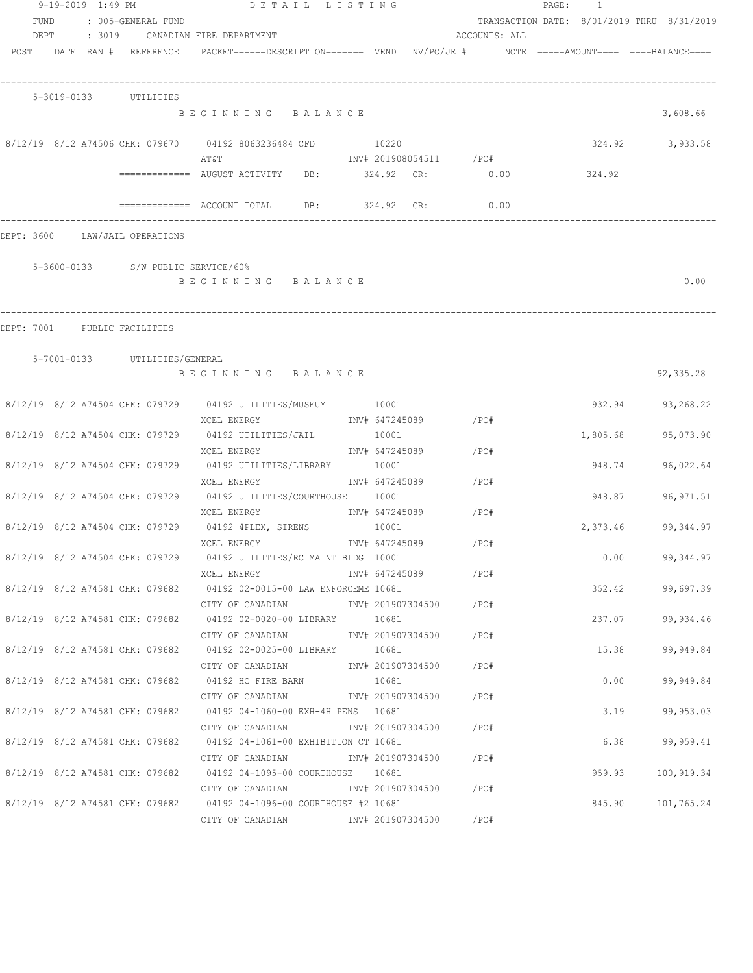|      | 9-19-2019 1:49 PM              |                                    | DETAIL LISTING                                                                                   |                |                         |                         | PAGE: 1 |          |                                            |
|------|--------------------------------|------------------------------------|--------------------------------------------------------------------------------------------------|----------------|-------------------------|-------------------------|---------|----------|--------------------------------------------|
| FUND |                                | : 005-GENERAL FUND                 |                                                                                                  |                |                         |                         |         |          | TRANSACTION DATE: 8/01/2019 THRU 8/31/2019 |
| DEPT |                                |                                    | : 3019 CANADIAN FIRE DEPARTMENT                                                                  |                |                         | ACCOUNTS: ALL           |         |          |                                            |
|      | POST DATE TRAN # REFERENCE     |                                    | $PACKET == == = DESCRIPTION == == == $ VEND $INV/PO/JE$ # $NOTE$ =====AMOUNT==== ====BALANCE==== |                |                         |                         |         |          |                                            |
|      | 5-3019-0133 UTILITIES          |                                    |                                                                                                  |                |                         |                         |         |          |                                            |
|      |                                |                                    | BEGINNING BALANCE                                                                                |                |                         |                         |         |          | 3,608.66                                   |
|      |                                |                                    | 8/12/19 8/12 A74506 CHK: 079670 04192 8063236484 CFD                                             | 10220          |                         |                         |         | 324.92   | 3,933.58                                   |
|      |                                |                                    | AΤ&Τ                                                                                             |                |                         | INV# 201908054511 / PO# |         |          |                                            |
|      |                                |                                    | ============ AUGUST ACTIVITY DB: 324.92 CR: 0.00                                                 |                |                         |                         |         | 324.92   |                                            |
|      |                                |                                    |                                                                                                  | 324.92 CR:     |                         | 0.00                    |         |          |                                            |
|      | DEPT: 3600 LAW/JAIL OPERATIONS |                                    |                                                                                                  |                |                         |                         |         |          |                                            |
|      |                                | 5-3600-0133 S/W PUBLIC SERVICE/60% |                                                                                                  |                |                         |                         |         |          |                                            |
|      |                                |                                    | BEGINNING BALANCE                                                                                |                |                         |                         |         |          | 0.00                                       |
|      |                                |                                    |                                                                                                  |                |                         |                         |         |          |                                            |
|      | DEPT: 7001 PUBLIC FACILITIES   |                                    |                                                                                                  |                |                         |                         |         |          |                                            |
|      |                                | 5-7001-0133 UTILITIES/GENERAL      | BEGINNING BALANCE                                                                                |                |                         |                         |         |          | 92,335.28                                  |
|      |                                |                                    |                                                                                                  |                |                         |                         |         |          |                                            |
|      |                                |                                    | 8/12/19 8/12 A74504 CHK: 079729 04192 UTILITIES/MUSEUM 10001                                     |                |                         |                         |         |          | 932.94 93,268.22                           |
|      |                                |                                    | XCEL ENERGY                                                                                      |                | INV# 647245089 / PO#    |                         |         |          |                                            |
|      |                                |                                    | 8/12/19 8/12 A74504 CHK: 079729 04192 UTILITIES/JAIL                                             | 10001          |                         |                         |         | 1,805.68 | 95,073.90                                  |
|      |                                |                                    | XCEL ENERGY                                                                                      |                | INV# 647245089 / PO#    |                         |         |          |                                            |
|      |                                | 8/12/19 8/12 A74504 CHK: 079729    | 04192 UTILITIES/LIBRARY 10001                                                                    |                |                         | /PO#                    |         | 948.74   | 96,022.64                                  |
|      |                                |                                    | XCEL ENERGY<br>8/12/19 8/12 A74504 CHK: 079729 04192 UTILITIES/COURTHOUSE 10001                  |                | INV# 647245089          |                         |         | 948.87   | 96, 971.51                                 |
|      |                                |                                    | XCEL ENERGY                                                                                      |                | INV# 647245089          | /PO#                    |         |          |                                            |
|      |                                |                                    | 8/12/19 8/12 A74504 CHK: 079729 04192 4PLEX, SIRENS                                              | 10001          |                         |                         |         | 2,373.46 | 99,344.97                                  |
|      |                                |                                    | XCEL ENERGY                                                                                      | INV# 647245089 |                         | /PO#                    |         |          |                                            |
|      |                                |                                    | 8/12/19 8/12 A74504 CHK: 079729 04192 UTILITIES/RC MAINT BLDG 10001                              |                |                         |                         |         |          | 0.00<br>99,344.97                          |
|      |                                |                                    | XCEL ENERGY                                                                                      |                | INV# 647245089          | /PO#                    |         |          |                                            |
|      |                                |                                    | 8/12/19 8/12 A74581 CHK: 079682 04192 02-0015-00 LAW ENFORCEME 10681                             |                |                         |                         |         |          | 352.42 99,697.39                           |
|      |                                |                                    | CITY OF CANADIAN<br>8/12/19 8/12 A74581 CHK: 079682 04192 02-0020-00 LIBRARY 10681               |                | INV# 201907304500 /PO#  |                         |         | 237.07   | 99,934.46                                  |
|      |                                |                                    | CITY OF CANADIAN                                                                                 |                | INV# 201907304500 /PO#  |                         |         |          |                                            |
|      |                                |                                    | 8/12/19 8/12 A74581 CHK: 079682 04192 02-0025-00 LIBRARY 10681                                   |                |                         |                         |         | 15.38    | 99,949.84                                  |
|      |                                |                                    | CITY OF CANADIAN                                                                                 |                | INV# 201907304500 / PO# |                         |         |          |                                            |
|      |                                |                                    | 8/12/19 8/12 A74581 CHK: 079682 04192 HC FIRE BARN                                               | 10681          |                         |                         |         | 0.00     | 99,949.84                                  |
|      |                                |                                    | CITY OF CANADIAN                                                                                 |                | INV# 201907304500       | /PO#                    |         |          |                                            |
|      |                                |                                    | 8/12/19 8/12 A74581 CHK: 079682 04192 04-1060-00 EXH-4H PENS 10681                               |                |                         |                         |         |          | 3.19<br>99,953.03                          |
|      |                                |                                    | CITY OF CANADIAN MOTHOM INV# 201907304500                                                        |                |                         | /PO#                    |         |          |                                            |
|      |                                |                                    | 8/12/19 8/12 A74581 CHK: 079682 04192 04-1061-00 EXHIBITION CT 10681                             |                |                         |                         |         |          | 6.38<br>99,959.41                          |
|      |                                |                                    | CITY OF CANADIAN              INV# 201907304500       /PO#                                       |                |                         |                         |         |          |                                            |
|      |                                |                                    | 8/12/19 8/12 A74581 CHK: 079682 04192 04-1095-00 COURTHOUSE 10681                                |                |                         |                         |         |          | 959.93 100,919.34                          |
|      |                                |                                    | 8/12/19 8/12 A74581 CHK: 079682 04192 04-1096-00 COURTHOUSE #2 10681                             |                |                         |                         |         | 845.90   |                                            |
|      |                                |                                    | CITY OF CANADIAN MOTHOM INV# 201907304500                                                        |                |                         | /PO#                    |         |          | 101,765.24                                 |
|      |                                |                                    |                                                                                                  |                |                         |                         |         |          |                                            |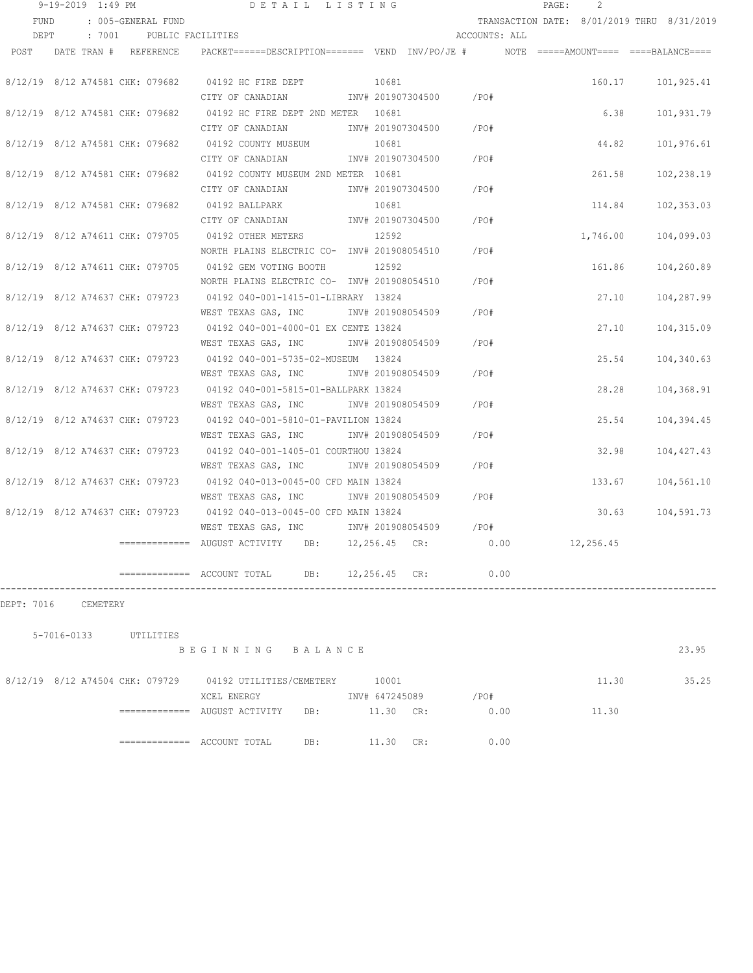|      | 9-19-2019 1:49 PM               |                          | DETAIL LISTING                                                                          |               |                        |               | PAGE: | $\mathcal{L}$ |                                            |
|------|---------------------------------|--------------------------|-----------------------------------------------------------------------------------------|---------------|------------------------|---------------|-------|---------------|--------------------------------------------|
| FUND |                                 | : 005-GENERAL FUND       |                                                                                         |               |                        |               |       |               | TRANSACTION DATE: 8/01/2019 THRU 8/31/2019 |
| DEPT |                                 | : 7001 PUBLIC FACILITIES |                                                                                         |               |                        | ACCOUNTS: ALL |       |               |                                            |
| POST | DATE TRAN # REFERENCE           |                          | PACKET======DESCRIPTION======= VEND INV/PO/JE #    NOTE =====AMOUNT==== ====BALANCE==== |               |                        |               |       |               |                                            |
|      |                                 |                          |                                                                                         |               |                        |               |       |               |                                            |
|      |                                 |                          | 8/12/19 8/12 A74581 CHK: 079682 04192 HC FIRE DEPT                                      | 10681         |                        |               |       | 160.17        | 101,925.41                                 |
|      |                                 |                          | CITY OF CANADIAN                                                                        |               | INV# 201907304500      | $/$ PO#       |       |               |                                            |
|      |                                 |                          | 8/12/19 8/12 A74581 CHK: 079682 04192 HC FIRE DEPT 2ND METER 10681                      |               |                        |               |       | 6.38          | 101,931.79                                 |
|      |                                 |                          | CITY OF CANADIAN                                                                        |               | INV# 201907304500 /PO# |               |       |               |                                            |
|      |                                 |                          | 8/12/19 8/12 A74581 CHK: 079682 04192 COUNTY MUSEUM 10681                               |               |                        |               |       | 44.82         | 101,976.61                                 |
|      |                                 |                          | CITY OF CANADIAN                                                                        |               | INV# 201907304500      | /PO#          |       |               |                                            |
|      |                                 |                          | 8/12/19 8/12 A74581 CHK: 079682 04192 COUNTY MUSEUM 2ND METER 10681                     |               |                        |               |       | 261.58        | 102,238.19                                 |
|      |                                 |                          | CITY OF CANADIAN MW# 201907304500                                                       |               |                        | $/$ PO#       |       |               |                                            |
|      |                                 |                          | 8/12/19 8/12 A74581 CHK: 079682 04192 BALLPARK                                          | 10681         |                        |               |       | 114.84        | 102,353.03                                 |
|      |                                 |                          | CITY OF CANADIAN 1NV# 201907304500                                                      |               |                        | /PO#          |       |               |                                            |
|      | 8/12/19 8/12 A74611 CHK: 079705 |                          | 04192 OTHER METERS                                                                      | 12592         |                        |               |       | 1,746.00      | 104,099.03                                 |
|      |                                 |                          | NORTH PLAINS ELECTRIC CO- INV# 201908054510                                             |               |                        | /PO#          |       |               |                                            |
|      | 8/12/19 8/12 A74611 CHK: 079705 |                          | 04192 GEM VOTING BOOTH                                                                  | 12592         |                        |               |       | 161.86        | 104,260.89                                 |
|      |                                 |                          | NORTH PLAINS ELECTRIC CO- INV# 201908054510                                             |               |                        | /PO#          |       |               |                                            |
|      | 8/12/19 8/12 A74637 CHK: 079723 |                          | 04192 040-001-1415-01-LIBRARY 13824                                                     |               |                        |               |       | 27.10         | 104,287.99                                 |
|      |                                 |                          | WEST TEXAS GAS, INC                                                                     |               | INV# 201908054509      | /PO#          |       |               |                                            |
|      | 8/12/19 8/12 A74637 CHK: 079723 |                          | 04192 040-001-4000-01 EX CENTE 13824                                                    |               |                        |               |       | 27.10         | 104,315.09                                 |
|      |                                 |                          | WEST TEXAS GAS, INC                                                                     |               | INV# 201908054509      | /PO#          |       |               |                                            |
|      | 8/12/19 8/12 A74637 CHK: 079723 |                          | 04192 040-001-5735-02-MUSEUM 13824                                                      |               |                        |               |       | 25.54         | 104,340.63                                 |
|      |                                 |                          | WEST TEXAS GAS, INC                                                                     |               | INV# 201908054509      | /PO#          |       |               |                                            |
|      |                                 |                          | 8/12/19 8/12 A74637 CHK: 079723 04192 040-001-5815-01-BALLPARK 13824                    |               |                        |               |       | 28.28         | 104,368.91                                 |
|      |                                 |                          | WEST TEXAS GAS, INC                                                                     |               | INV# 201908054509      | /PO#          |       |               |                                            |
|      |                                 |                          | 8/12/19 8/12 A74637 CHK: 079723 04192 040-001-5810-01-PAVILION 13824                    |               |                        |               |       | 25.54         | 104,394.45                                 |
|      |                                 |                          | WEST TEXAS GAS, INC                                                                     |               | INV# 201908054509      | /PO#          |       |               |                                            |
|      |                                 |                          | 8/12/19 8/12 A74637 CHK: 079723 04192 040-001-1405-01 COURTHOU 13824                    |               |                        |               |       | 32.98         | 104,427.43                                 |
|      |                                 |                          | WEST TEXAS GAS, INC                                                                     |               | INV# 201908054509      | /PO#          |       |               |                                            |
|      |                                 |                          | 8/12/19 8/12 A74637 CHK: 079723 04192 040-013-0045-00 CFD MAIN 13824                    |               |                        |               |       | 133.67        | 104,561.10                                 |
|      |                                 |                          | WEST TEXAS GAS, INC                                                                     |               | INV# 201908054509      | /PO#          |       |               |                                            |
|      |                                 |                          | 8/12/19 8/12 A74637 CHK: 079723 04192 040-013-0045-00 CFD MAIN 13824                    |               |                        |               |       | 30.63         | 104,591.73                                 |
|      |                                 |                          | WEST TEXAS GAS, INC MONTH 201908054509                                                  |               |                        | /PO#          |       |               |                                            |
|      |                                 |                          | ============= AUGUST ACTIVITY DB: 12,256.45 CR:                                         |               |                        | 0.00          |       | 12,256.45     |                                            |
|      |                                 |                          |                                                                                         |               |                        |               |       |               |                                            |
|      |                                 |                          |                                                                                         | 12,256.45 CR: |                        | 0.00          |       |               |                                            |
|      |                                 |                          |                                                                                         |               |                        |               |       |               |                                            |

DEPT: 7016 CEMETERY

| 5-7016-0133                     | UTILITIES     |                          |         |                |     |      |       |       |
|---------------------------------|---------------|--------------------------|---------|----------------|-----|------|-------|-------|
|                                 |               | BEGINNING                | BALANCE |                |     |      |       | 23.95 |
| 8/12/19 8/12 A74504 CHK: 079729 |               | 04192 UTILITIES/CEMETERY |         | 10001          |     |      | 11.30 | 35.25 |
|                                 |               | XCEL ENERGY              |         | INV# 647245089 |     | /PO# |       |       |
|                                 | ============= | AUGUST ACTIVITY          | DB:     | 11.30          | CR: | 0.00 | 11.30 |       |
|                                 |               |                          |         |                |     |      |       |       |
|                                 | ============= | ACCOUNT TOTAL            | DB:     | 11.30          | CR: | 0.00 |       |       |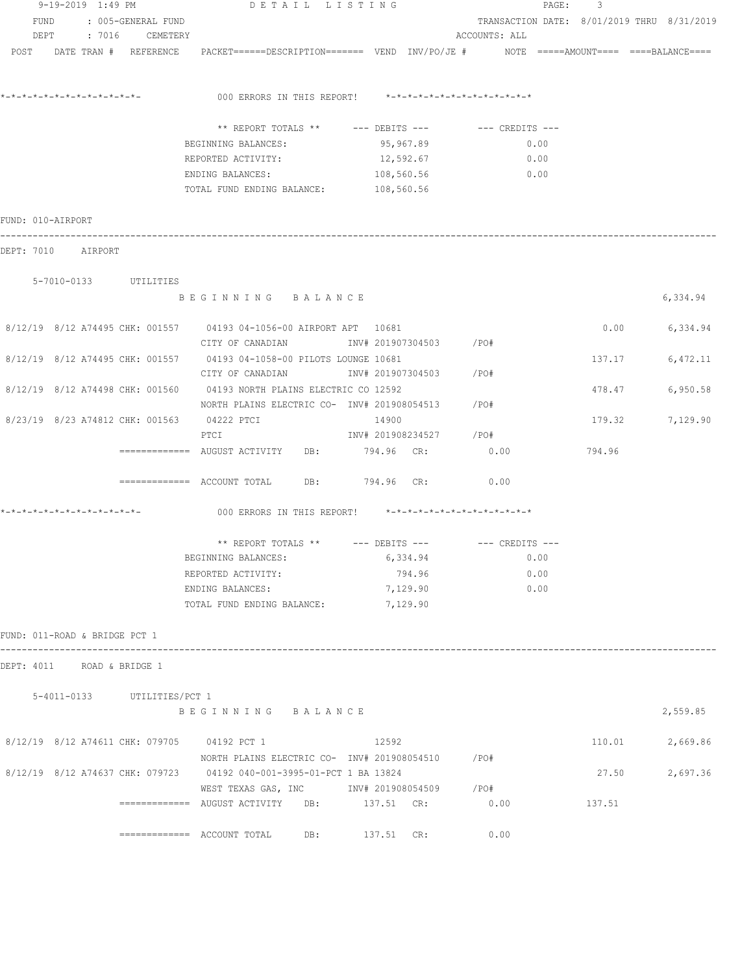| 9-19-2019 1:49 PM                                                                                               | DETAIL LISTING                                                    |                                 |                                            | PAGE: 3 |                 |
|-----------------------------------------------------------------------------------------------------------------|-------------------------------------------------------------------|---------------------------------|--------------------------------------------|---------|-----------------|
| FUND : 005-GENERAL FUND                                                                                         |                                                                   |                                 | TRANSACTION DATE: 8/01/2019 THRU 8/31/2019 |         |                 |
| DEPT : 7016 CEMETERY                                                                                            |                                                                   |                                 | ACCOUNTS: ALL                              |         |                 |
| POST DATE TRAN # REFERENCE PACKET======DESCRIPTION======= VEND INV/PO/JE # NOTE =====AMOUNT==== ====BALANCE==== |                                                                   |                                 |                                            |         |                 |
|                                                                                                                 | 000 ERRORS IN THIS REPORT! $*-*-*-*-*-*-*-*-*-*-*-*-*-*-**$       |                                 |                                            |         |                 |
|                                                                                                                 | ** REPORT TOTALS ** --- DEBITS --- -- CREDITS ---                 |                                 |                                            |         |                 |
|                                                                                                                 | BEGINNING BALANCES:                                               | 95, 967.89                      | 0.00                                       |         |                 |
|                                                                                                                 | REPORTED ACTIVITY:                                                | 12,592.67                       | 0.00                                       |         |                 |
|                                                                                                                 | ENDING BALANCES: 108,560.56                                       |                                 | 0.00                                       |         |                 |
|                                                                                                                 | TOTAL FUND ENDING BALANCE: 108,560.56                             |                                 |                                            |         |                 |
| FUND: 010-AIRPORT                                                                                               |                                                                   |                                 |                                            |         |                 |
| DEPT: 7010 AIRPORT                                                                                              |                                                                   |                                 |                                            |         |                 |
| 5-7010-0133 UTILITIES                                                                                           |                                                                   |                                 |                                            |         |                 |
|                                                                                                                 | BEGINNING BALANCE                                                 |                                 |                                            |         | 6,334.94        |
| 8/12/19 8/12 A74495 CHK: 001557 04193 04-1056-00 AIRPORT APT 10681                                              |                                                                   |                                 |                                            | 0.00    | 6,334.94        |
| 8/12/19 8/12 A74495 CHK: 001557 04193 04-1058-00 PILOTS LOUNGE 10681                                            | CITY OF CANADIAN                 INV# 201907304503         /PO#   |                                 |                                            | 137.17  | 6,472.11        |
|                                                                                                                 |                                                                   |                                 |                                            |         |                 |
| 8/12/19 8/12 A74498 CHK: 001560 04193 NORTH PLAINS ELECTRIC CO 12592                                            |                                                                   |                                 |                                            | 478.47  | 6,950.58        |
|                                                                                                                 | NORTH PLAINS ELECTRIC CO- $\frac{1}{100}$ 1NV# 201908054513 / PO# |                                 |                                            |         |                 |
| 8/23/19 8/23 A74812 CHK: 001563 04222 PTCI                                                                      | PTCI                                                              | 14900<br>INV# 201908234527 /PO# |                                            |         | 179.32 7,129.90 |
|                                                                                                                 |                                                                   |                                 | 0.00                                       | 794.96  |                 |
|                                                                                                                 | ============= ACCOUNT TOTAL DB: 794.96 CR:                        |                                 | 0.00                                       |         |                 |
|                                                                                                                 | 000 ERRORS IN THIS REPORT! *-*-*-*-*-*-*-*-*-*-*-*-*-*-           |                                 |                                            |         |                 |
|                                                                                                                 |                                                                   |                                 |                                            |         |                 |
|                                                                                                                 | ** REPORT TOTALS ** --- DEBITS --- -- CREDITS ---                 |                                 |                                            |         |                 |
|                                                                                                                 | BEGINNING BALANCES:                                               | 6,334.94                        | 0.00                                       |         |                 |
|                                                                                                                 | REPORTED ACTIVITY:                                                | 794.96                          | 0.00                                       |         |                 |
|                                                                                                                 | ENDING BALANCES:<br>TOTAL FUND ENDING BALANCE:                    | 7,129.90<br>7,129.90            | 0.00                                       |         |                 |
|                                                                                                                 |                                                                   |                                 |                                            |         |                 |
| FUND: 011-ROAD & BRIDGE PCT 1                                                                                   |                                                                   |                                 |                                            |         |                 |
| DEPT: 4011 ROAD & BRIDGE 1                                                                                      |                                                                   |                                 |                                            |         |                 |
| 5-4011-0133 UTILITIES/PCT 1                                                                                     |                                                                   |                                 |                                            |         |                 |
|                                                                                                                 | BEGINNING BALANCE                                                 |                                 |                                            |         | 2,559.85        |
| 8/12/19 8/12 A74611 CHK: 079705 04192 PCT 1                                                                     |                                                                   | 12592                           |                                            |         | 110.01 2,669.86 |
| 8/12/19 8/12 A74637 CHK: 079723 04192 040-001-3995-01-PCT 1 BA 13824                                            | NORTH PLAINS ELECTRIC CO- INV# 201908054510 / PO#                 |                                 |                                            | 27.50   | 2,697.36        |
|                                                                                                                 | WEST TEXAS GAS, INC METALLY 101908054509 / PO#                    |                                 | 0.00                                       | 137.51  |                 |
|                                                                                                                 | ============= ACCOUNT TOTAL DB: 137.51 CR:                        |                                 | 0.00                                       |         |                 |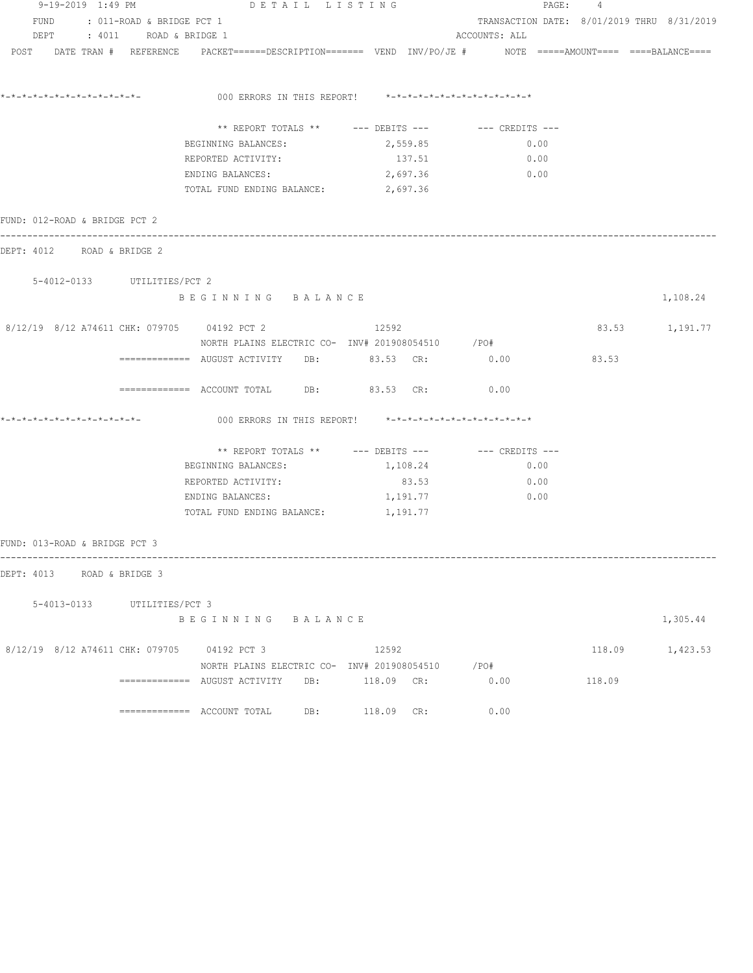| 9-19-2019 1:49 PM             |                                | DETAIL LISTING                                    |  | PAGE: 4                                                 |                                                                                                                 |        |                 |  |  |  |
|-------------------------------|--------------------------------|---------------------------------------------------|--|---------------------------------------------------------|-----------------------------------------------------------------------------------------------------------------|--------|-----------------|--|--|--|
|                               | FUND : 011-ROAD & BRIDGE PCT 1 |                                                   |  |                                                         | TRANSACTION DATE: 8/01/2019 THRU 8/31/2019                                                                      |        |                 |  |  |  |
|                               | DEPT : 4011 ROAD & BRIDGE 1    |                                                   |  |                                                         | ACCOUNTS: ALL                                                                                                   |        |                 |  |  |  |
|                               |                                |                                                   |  |                                                         | POST DATE TRAN # REFERENCE PACKET======DESCRIPTION======= VEND INV/PO/JE # NOTE =====AMOUNT==== ====BALANCE==== |        |                 |  |  |  |
| *-*-*-*-*-*-*-*-*-*-*-*-*-*-  |                                |                                                   |  | 000 ERRORS IN THIS REPORT! *-*-*-*-*-*-*-*-*-*-*-*-*-*- |                                                                                                                 |        |                 |  |  |  |
|                               |                                |                                                   |  |                                                         | ** REPORT TOTALS ** --- DEBITS --- -- -- CREDITS ---                                                            |        |                 |  |  |  |
|                               |                                | BEGINNING BALANCES:                               |  | 2,559.85                                                | 0.00                                                                                                            |        |                 |  |  |  |
|                               |                                | REPORTED ACTIVITY:                                |  | 137.51                                                  | 0.00                                                                                                            |        |                 |  |  |  |
|                               |                                | ENDING BALANCES:                                  |  |                                                         | 2,697.36 0.00                                                                                                   |        |                 |  |  |  |
|                               |                                | TOTAL FUND ENDING BALANCE: 2,697.36               |  |                                                         |                                                                                                                 |        |                 |  |  |  |
| FUND: 012-ROAD & BRIDGE PCT 2 |                                |                                                   |  |                                                         |                                                                                                                 |        |                 |  |  |  |
| DEPT: 4012 ROAD & BRIDGE 2    |                                | --------------------------------------            |  |                                                         |                                                                                                                 |        |                 |  |  |  |
|                               | 5-4012-0133 UTILITIES/PCT 2    |                                                   |  |                                                         |                                                                                                                 |        |                 |  |  |  |
|                               |                                | BEGINNING BALANCE                                 |  |                                                         |                                                                                                                 |        | 1,108.24        |  |  |  |
|                               |                                | 8/12/19 8/12 A74611 CHK: 079705 04192 PCT 2       |  | 12592                                                   |                                                                                                                 |        | 83.53 1,191.77  |  |  |  |
|                               |                                | NORTH PLAINS ELECTRIC CO- INV# 201908054510 / PO# |  |                                                         |                                                                                                                 |        |                 |  |  |  |
|                               |                                | ============ AUGUST ACTIVITY DB: 83.53 CR: 0.00   |  |                                                         |                                                                                                                 | 83.53  |                 |  |  |  |
|                               |                                | ============ ACCOUNT TOTAL DB: 83.53 CR: 0.00     |  |                                                         |                                                                                                                 |        |                 |  |  |  |
|                               |                                |                                                   |  | 000 ERRORS IN THIS REPORT! *-*-*-*-*-*-*-*-*-*-*-*-*-*- |                                                                                                                 |        |                 |  |  |  |
|                               |                                |                                                   |  |                                                         | ** REPORT TOTALS ** --- DEBITS --- -- CREDITS ---                                                               |        |                 |  |  |  |
|                               |                                | BEGINNING BALANCES:                               |  | 1,108.24                                                | 0.00                                                                                                            |        |                 |  |  |  |
|                               |                                | REPORTED ACTIVITY:                                |  | 83.53                                                   | 0.00                                                                                                            |        |                 |  |  |  |
|                               |                                | ENDING BALANCES:                                  |  | 1,191.77                                                | 0.00                                                                                                            |        |                 |  |  |  |
|                               |                                | TOTAL FUND ENDING BALANCE: 1, 191.77              |  |                                                         |                                                                                                                 |        |                 |  |  |  |
| FUND: 013-ROAD & BRIDGE PCT 3 |                                |                                                   |  |                                                         |                                                                                                                 |        |                 |  |  |  |
| DEPT: 4013 ROAD & BRIDGE 3    |                                |                                                   |  |                                                         |                                                                                                                 |        |                 |  |  |  |
|                               | 5-4013-0133 UTILITIES/PCT 3    |                                                   |  |                                                         |                                                                                                                 |        |                 |  |  |  |
|                               |                                | BEGINNING BALANCE                                 |  |                                                         |                                                                                                                 |        | 1,305.44        |  |  |  |
|                               |                                | 8/12/19 8/12 A74611 CHK: 079705 04192 PCT 3       |  | 12592                                                   |                                                                                                                 |        | 118.09 1,423.53 |  |  |  |
|                               |                                | NORTH PLAINS ELECTRIC CO- INV# 201908054510 / PO# |  |                                                         |                                                                                                                 |        |                 |  |  |  |
|                               |                                | ============= AUGUST ACTIVITY DB: 118.09 CR:      |  |                                                         | 0.00                                                                                                            | 118.09 |                 |  |  |  |
|                               |                                |                                                   |  | 118.09 CR:                                              | 0.00                                                                                                            |        |                 |  |  |  |